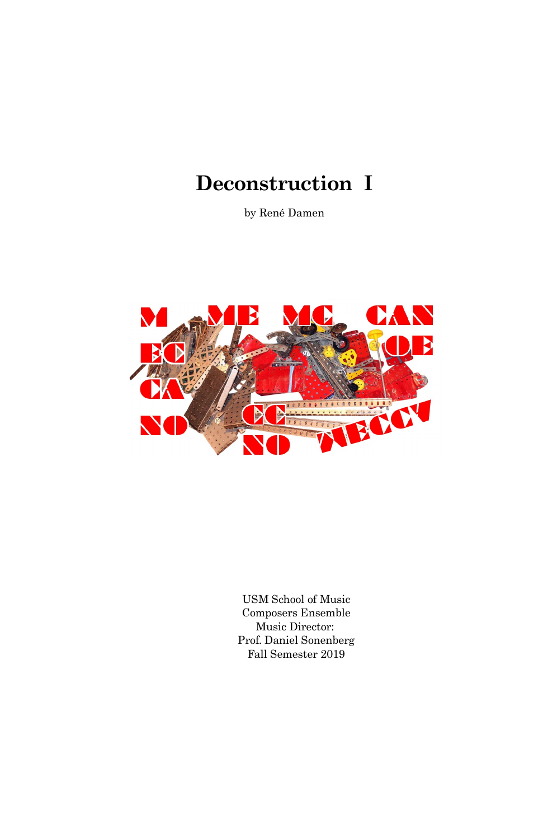## **Deconstruction I**

by René Damen



USM School of Music Composers Ensemble Music Director: Prof. Daniel Sonenberg Fall Semester 2019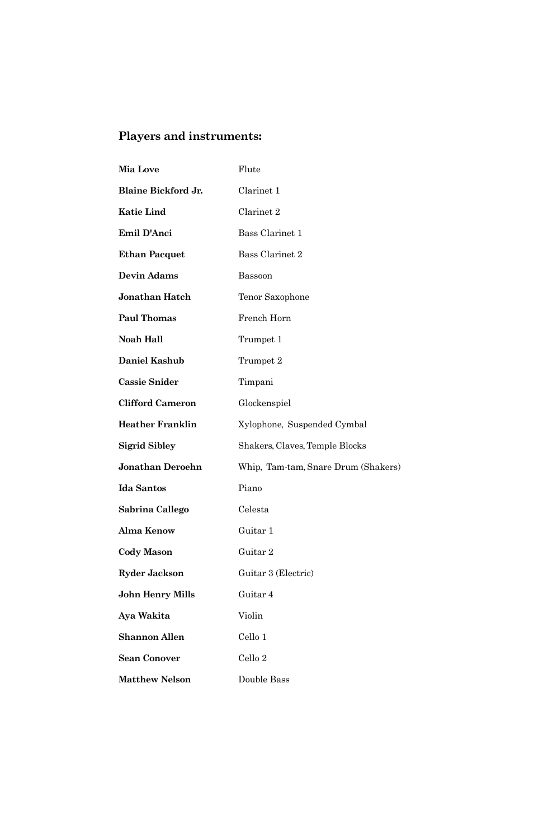## **Players and instruments:**

| <b>Mia Love</b>            | Flute                                 |
|----------------------------|---------------------------------------|
| <b>Blaine Bickford Jr.</b> | Clarinet 1                            |
| <b>Katie Lind</b>          | Clarinet 2                            |
| Emil D'Anci                | <b>Bass Clarinet 1</b>                |
| <b>Ethan Pacquet</b>       | <b>Bass Clarinet 2</b>                |
| <b>Devin Adams</b>         | <b>Bassoon</b>                        |
| Jonathan Hatch             | Tenor Saxophone                       |
| <b>Paul Thomas</b>         | French Horn                           |
| <b>Noah Hall</b>           | Trumpet 1                             |
| <b>Daniel Kashub</b>       | Trumpet 2                             |
| <b>Cassie Snider</b>       | Timpani                               |
| <b>Clifford Cameron</b>    | Glockenspiel                          |
| <b>Heather Franklin</b>    | Xylophone, Suspended Cymbal           |
| <b>Sigrid Sibley</b>       | <b>Shakers, Claves, Temple Blocks</b> |
| <b>Jonathan Deroehn</b>    | Whip, Tam-tam, Snare Drum (Shakers)   |
| <b>Ida Santos</b>          | Piano                                 |
| Sabrina Callego            | Celesta                               |
| <b>Alma Kenow</b>          | Guitar 1                              |
| Cody Mason                 | Guitar 2                              |
| <b>Ryder Jackson</b>       | Guitar 3 (Electric)                   |
| <b>John Henry Mills</b>    | Guitar 4                              |
| Aya Wakita                 | Violin                                |

| .           |
|-------------|
| Cello 1     |
| Cello 2     |
| Double Bass |
|             |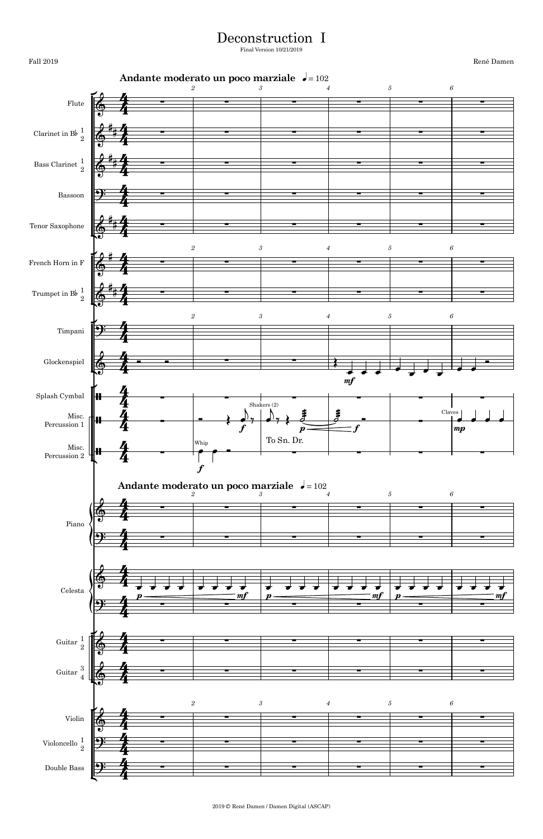



## Deconstruction I

Final Version 10/21/2019

2019 © René Damen / Damen Digital (ASCAP)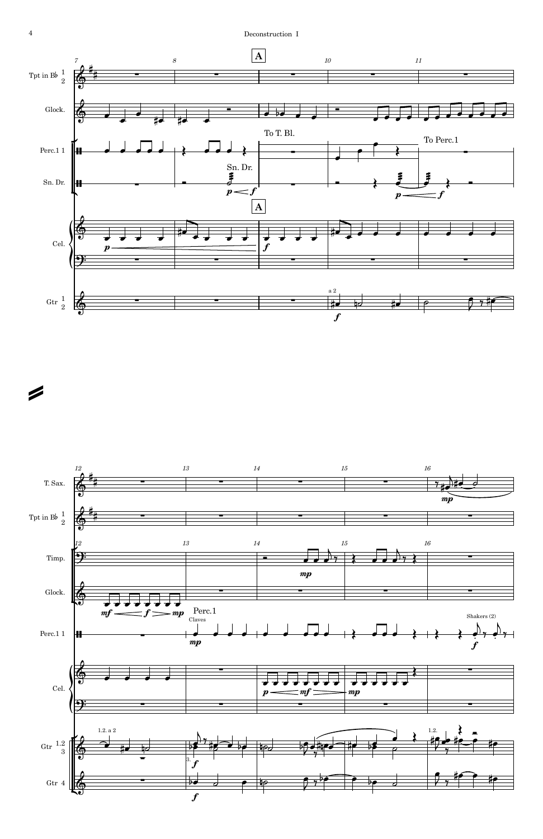



 $\blacktriangleright$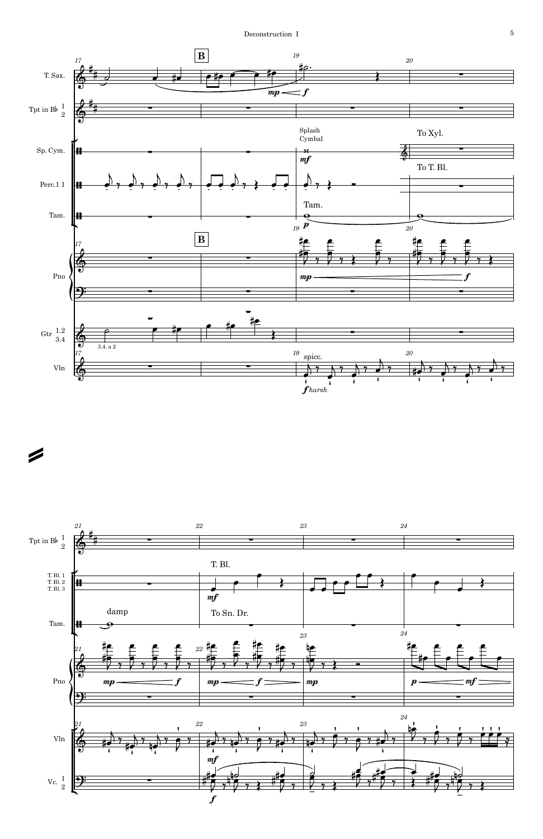



 $\overline{\phantom{a}}$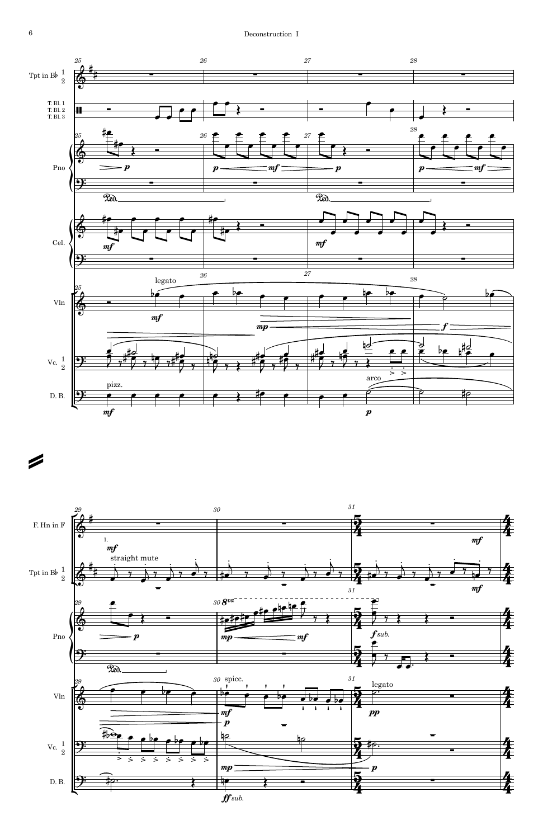



 $\blacktriangleright$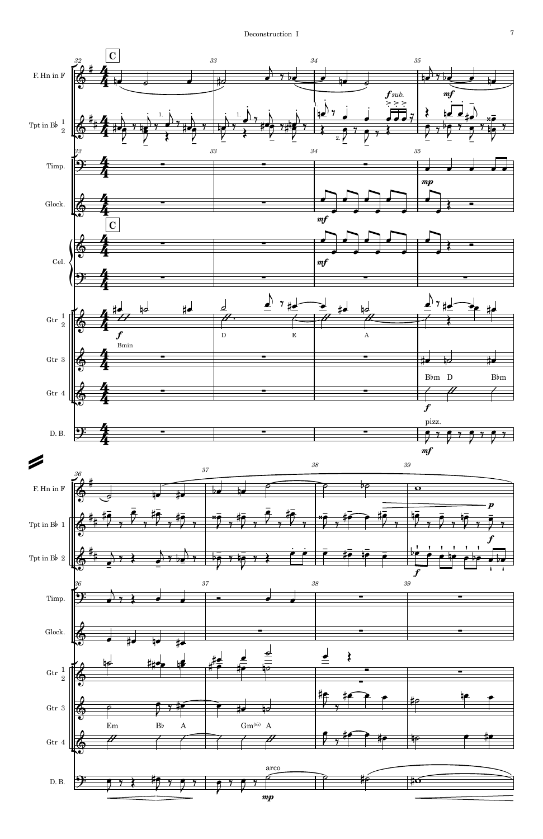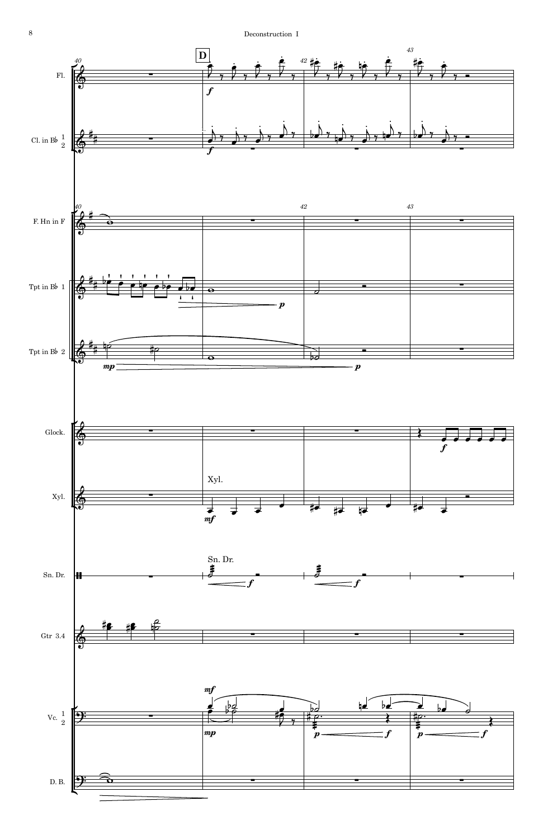

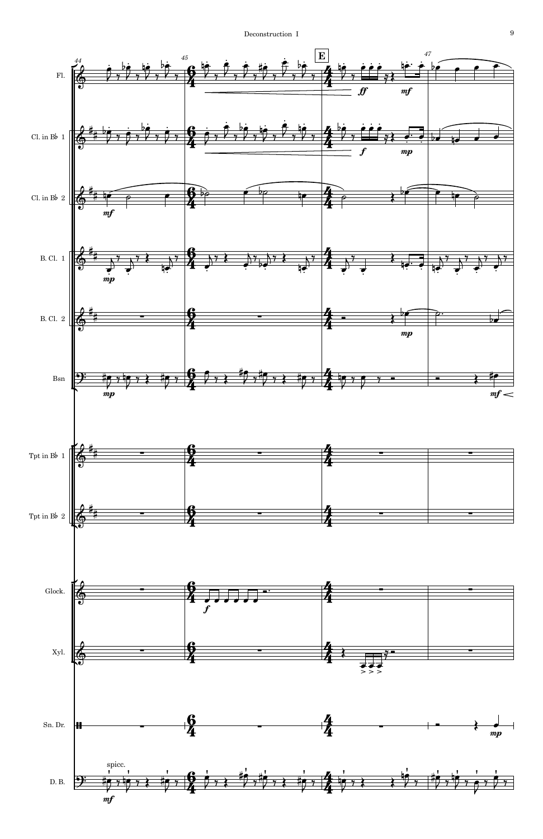

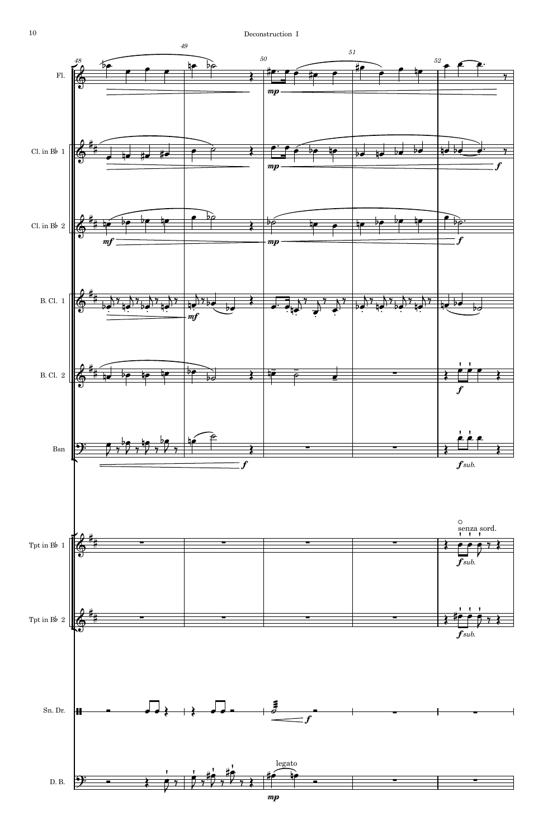

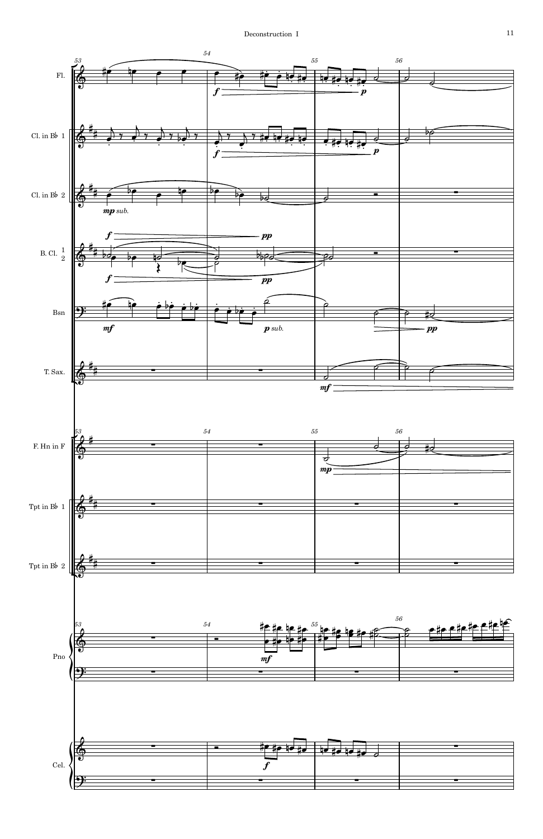

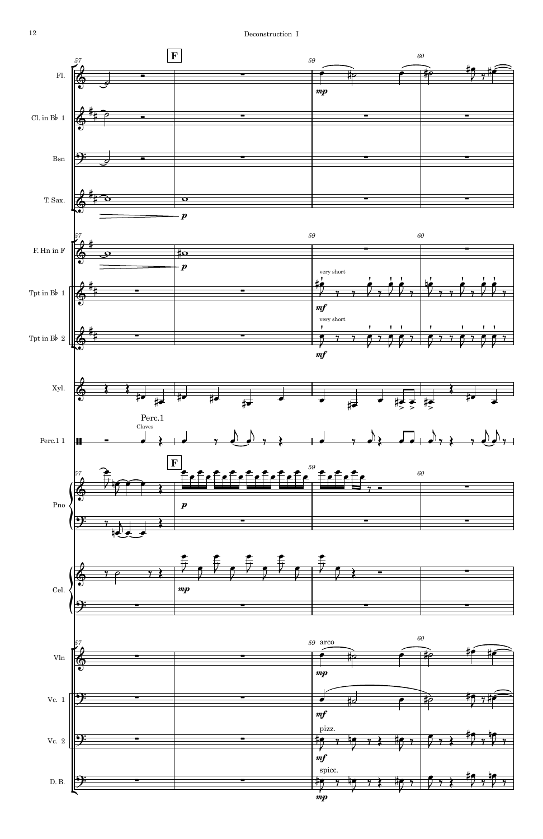

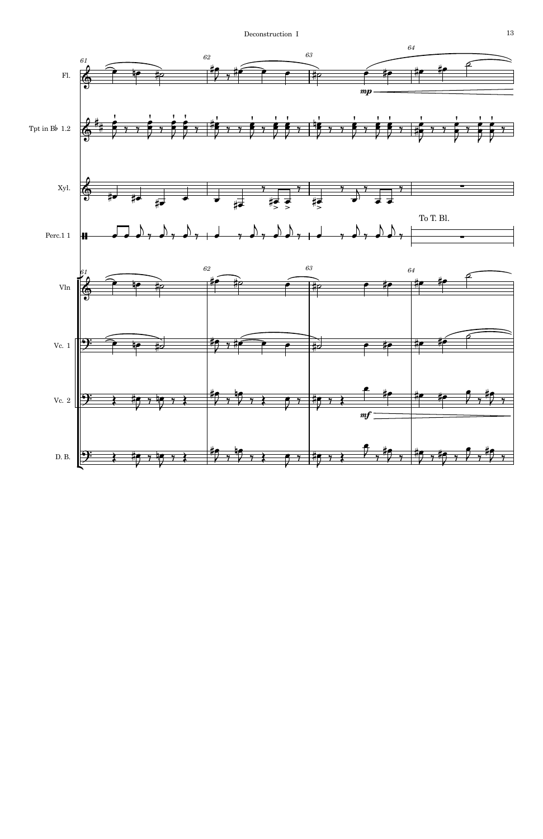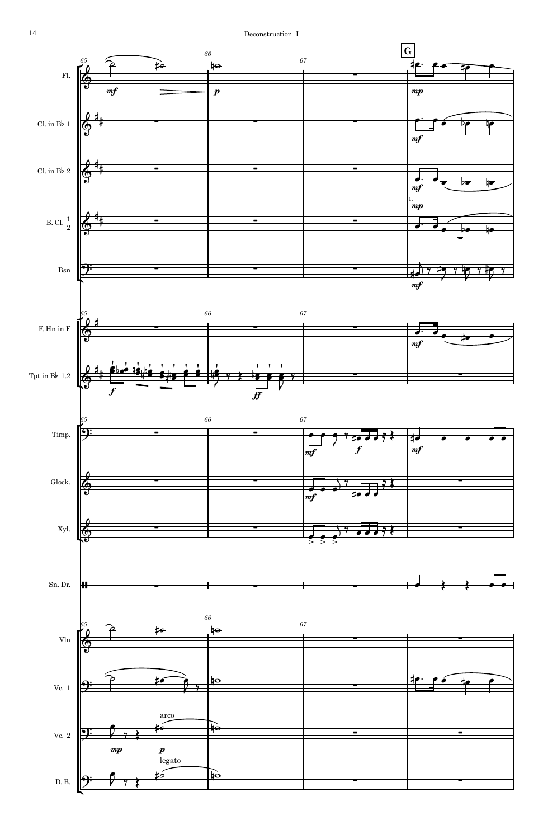

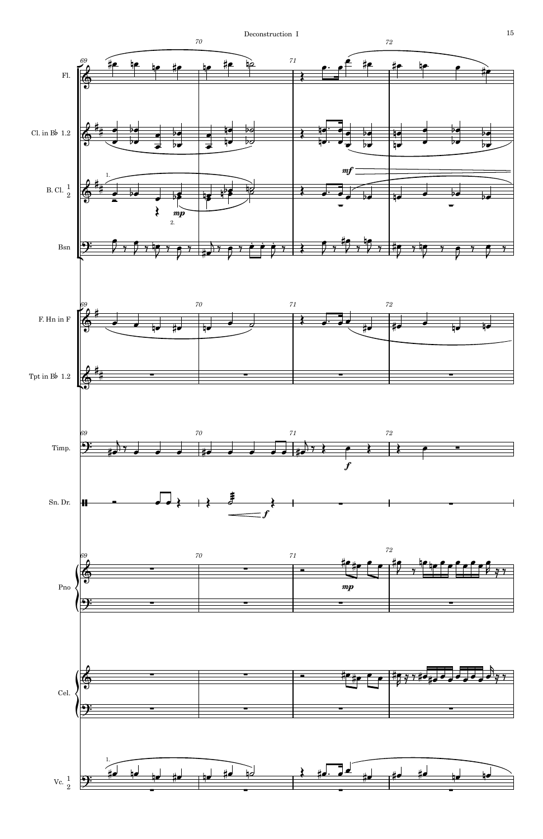

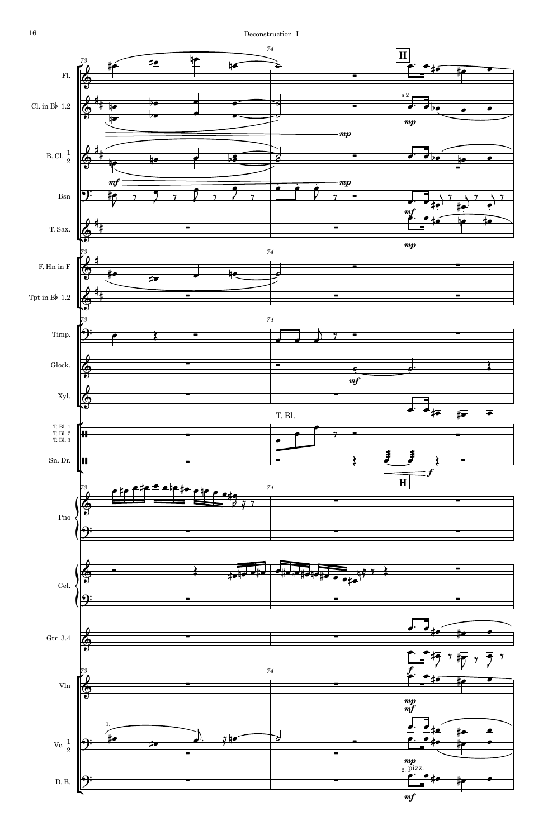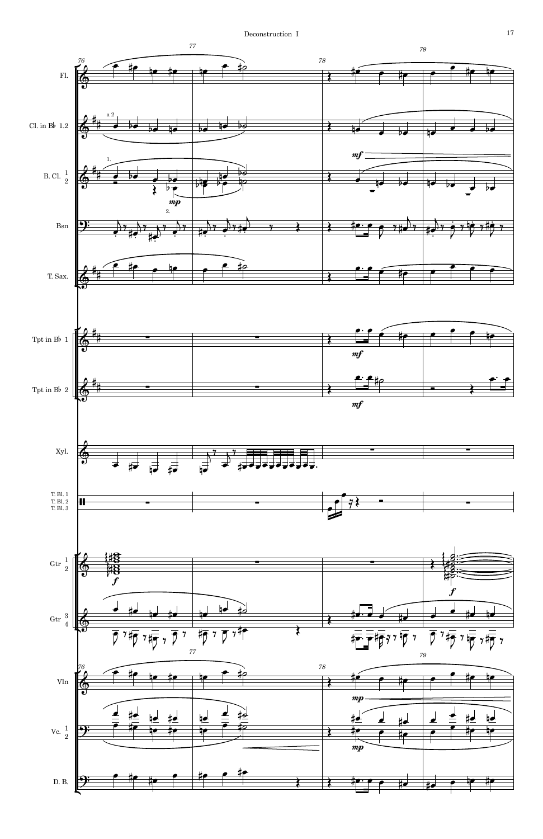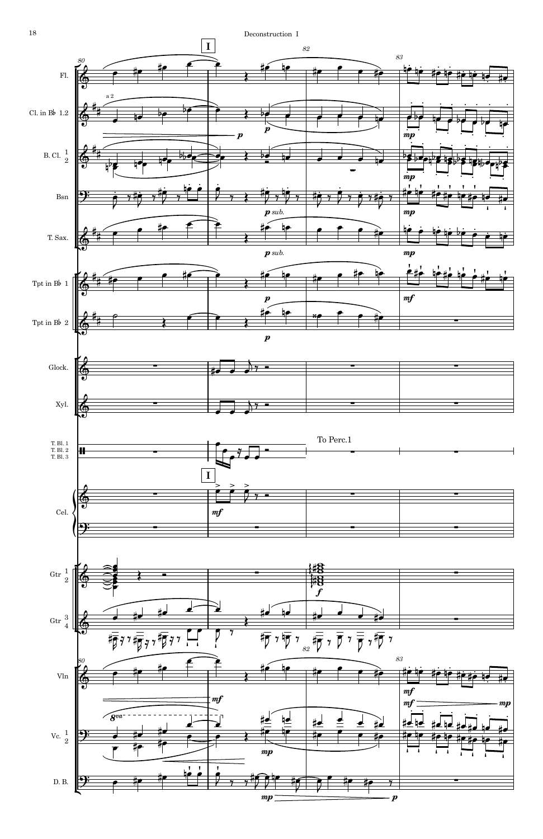

18 Deconstruction I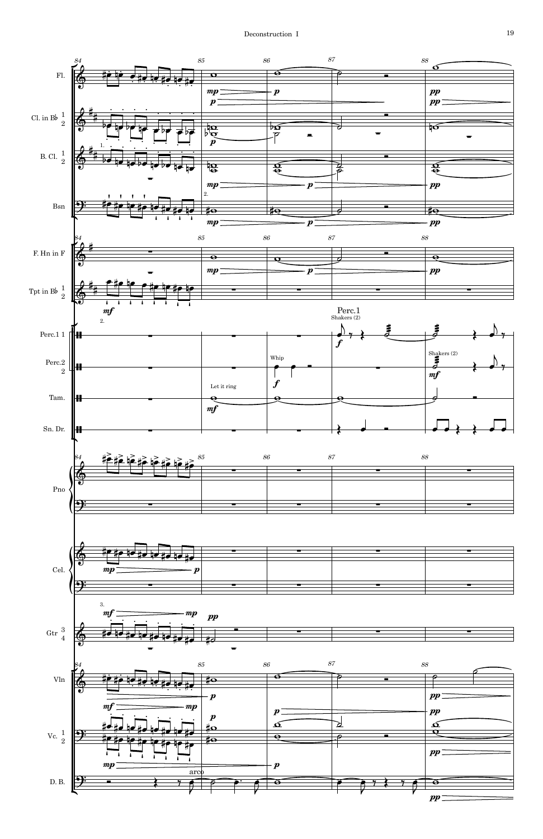